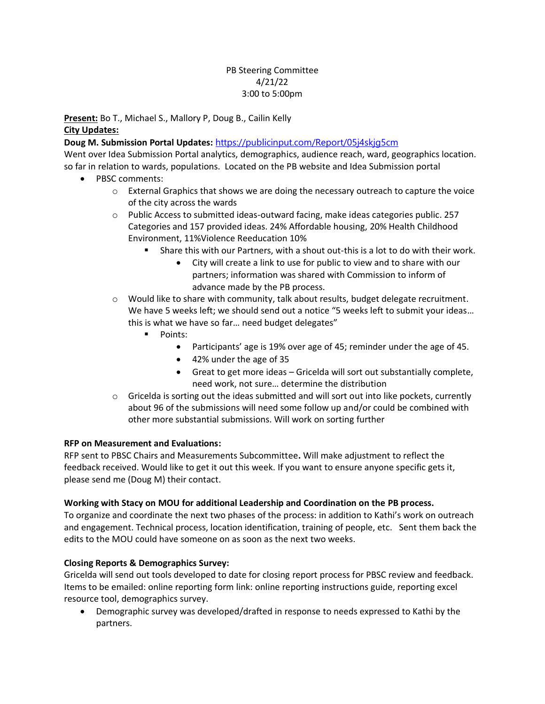## PB Steering Committee 4/21/22 3:00 to 5:00pm

**Present:** Bo T., Michael S., Mallory P, Doug B., Cailin Kelly **City Updates:** 

**Doug M. Submission Portal Updates:** <https://publicinput.com/Report/05j4skjg5cm>

Went over Idea Submission Portal analytics, demographics, audience reach, ward, geographics location. so far in relation to wards, populations. Located on the PB website and Idea Submission portal

- PBSC comments:
	- $\circ$  External Graphics that shows we are doing the necessary outreach to capture the voice of the city across the wards
	- o Public Access to submitted ideas-outward facing, make ideas categories public. 257 Categories and 157 provided ideas. 24% Affordable housing, 20% Health Childhood Environment, 11%Violence Reeducation 10%
		- Share this with our Partners, with a shout out-this is a lot to do with their work.
			- City will create a link to use for public to view and to share with our partners; information was shared with Commission to inform of advance made by the PB process.
	- $\circ$  Would like to share with community, talk about results, budget delegate recruitment. We have 5 weeks left; we should send out a notice "5 weeks left to submit your ideas… this is what we have so far… need budget delegates"
		- Points:
			- Participants' age is 19% over age of 45; reminder under the age of 45.
			- 42% under the age of 35
			- Great to get more ideas Gricelda will sort out substantially complete, need work, not sure… determine the distribution
	- $\circ$  Gricelda is sorting out the ideas submitted and will sort out into like pockets, currently about 96 of the submissions will need some follow up and/or could be combined with other more substantial submissions. Will work on sorting further

### **RFP on Measurement and Evaluations:**

RFP sent to PBSC Chairs and Measurements Subcommittee**.** Will make adjustment to reflect the feedback received. Would like to get it out this week. If you want to ensure anyone specific gets it, please send me (Doug M) their contact.

### **Working with Stacy on MOU for additional Leadership and Coordination on the PB process.**

To organize and coordinate the next two phases of the process: in addition to Kathi's work on outreach and engagement. Technical process, location identification, training of people, etc. Sent them back the edits to the MOU could have someone on as soon as the next two weeks.

# **Closing Reports & Demographics Survey:**

Gricelda will send out tools developed to date for closing report process for PBSC review and feedback. Items to be emailed: online reporting form link: online reporting instructions guide, reporting excel resource tool, demographics survey.

• Demographic survey was developed/drafted in response to needs expressed to Kathi by the partners.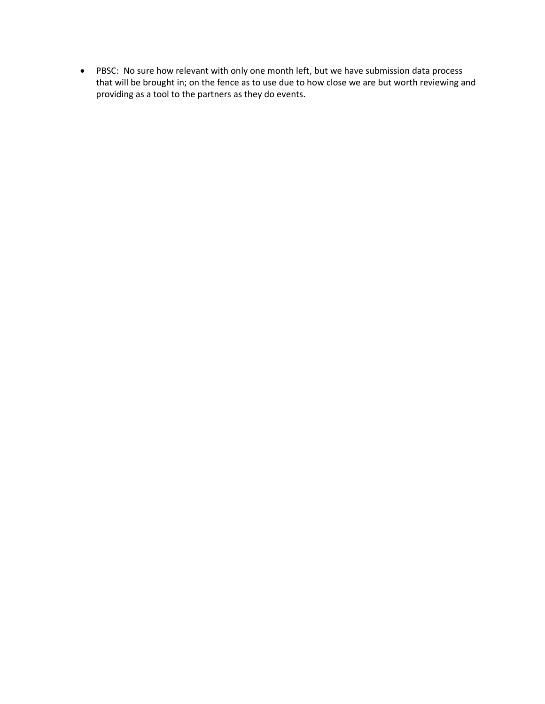• PBSC: No sure how relevant with only one month left, but we have submission data process that will be brought in; on the fence as to use due to how close we are but worth reviewing and providing as a tool to the partners as they do events.